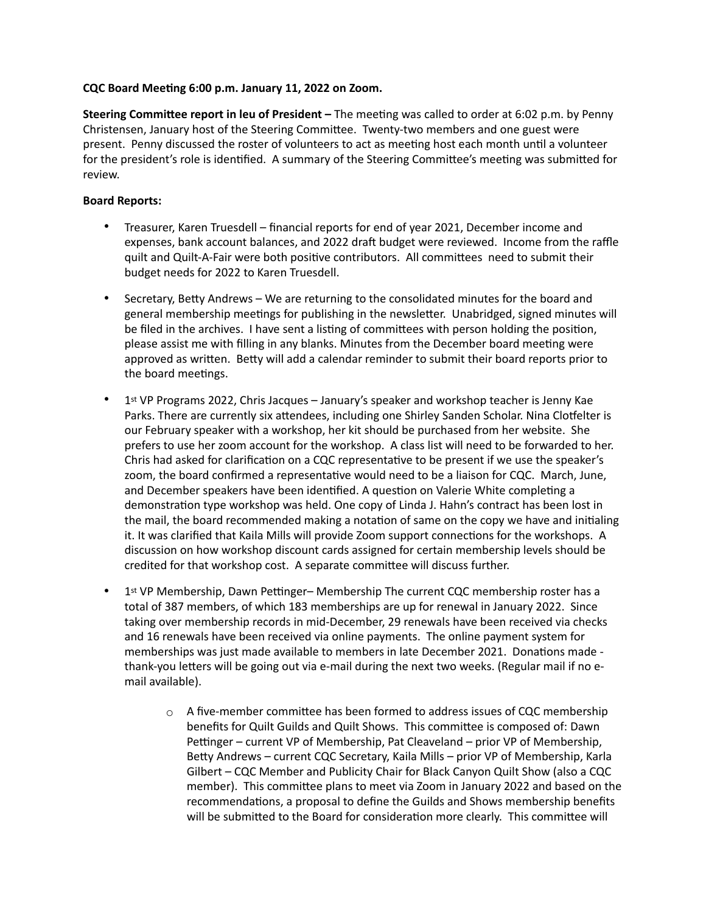# **CQC Board Meeting 6:00 p.m. January 11, 2022 on Zoom.**

**Steering Committee report in leu of President –** The meeting was called to order at 6:02 p.m. by Penny Christensen, January host of the Steering Committee. Twenty-two members and one guest were present. Penny discussed the roster of volunteers to act as meeting host each month until a volunteer for the president's role is identified. A summary of the Steering Committee's meeting was submitted for review.

# **Board Reports:**

- Treasurer, Karen Truesdell financial reports for end of year 2021, December income and expenses, bank account balances, and 2022 draft budget were reviewed. Income from the raffle quilt and Quilt-A-Fair were both positive contributors. All committees need to submit their budget needs for 2022 to Karen Truesdell.
- Secretary, Betty Andrews We are returning to the consolidated minutes for the board and general membership meetings for publishing in the newsletter. Unabridged, signed minutes will be filed in the archives. I have sent a listing of committees with person holding the position, please assist me with filling in any blanks. Minutes from the December board meeting were approved as written. Betty will add a calendar reminder to submit their board reports prior to the board meetings.
- 1st VP Programs 2022, Chris Jacques January's speaker and workshop teacher is Jenny Kae Parks. There are currently six attendees, including one Shirley Sanden Scholar. Nina Clotfelter is our February speaker with a workshop, her kit should be purchased from her website. She prefers to use her zoom account for the workshop. A class list will need to be forwarded to her. Chris had asked for clarification on a CQC representative to be present if we use the speaker's zoom, the board confirmed a representative would need to be a liaison for CQC. March, June, and December speakers have been identified. A question on Valerie White completing a demonstration type workshop was held. One copy of Linda J. Hahn's contract has been lost in the mail, the board recommended making a notation of same on the copy we have and initialing it. It was clarified that Kaila Mills will provide Zoom support connections for the workshops. A discussion on how workshop discount cards assigned for certain membership levels should be credited for that workshop cost. A separate committee will discuss further.
- 1st VP Membership, Dawn Pettinger– Membership The current CQC membership roster has a total of 387 members, of which 183 memberships are up for renewal in January 2022. Since taking over membership records in mid-December, 29 renewals have been received via checks and 16 renewals have been received via online payments. The online payment system for memberships was just made available to members in late December 2021. Donations made thank-you letters will be going out via e-mail during the next two weeks. (Regular mail if no email available).
	- $\circ$  A five-member committee has been formed to address issues of CQC membership benefits for Quilt Guilds and Quilt Shows. This committee is composed of: Dawn Pettinger – current VP of Membership, Pat Cleaveland – prior VP of Membership, Betty Andrews – current CQC Secretary, Kaila Mills – prior VP of Membership, Karla Gilbert – CQC Member and Publicity Chair for Black Canyon Quilt Show (also a CQC member). This committee plans to meet via Zoom in January 2022 and based on the recommendations, a proposal to define the Guilds and Shows membership benefits will be submitted to the Board for consideration more clearly. This committee will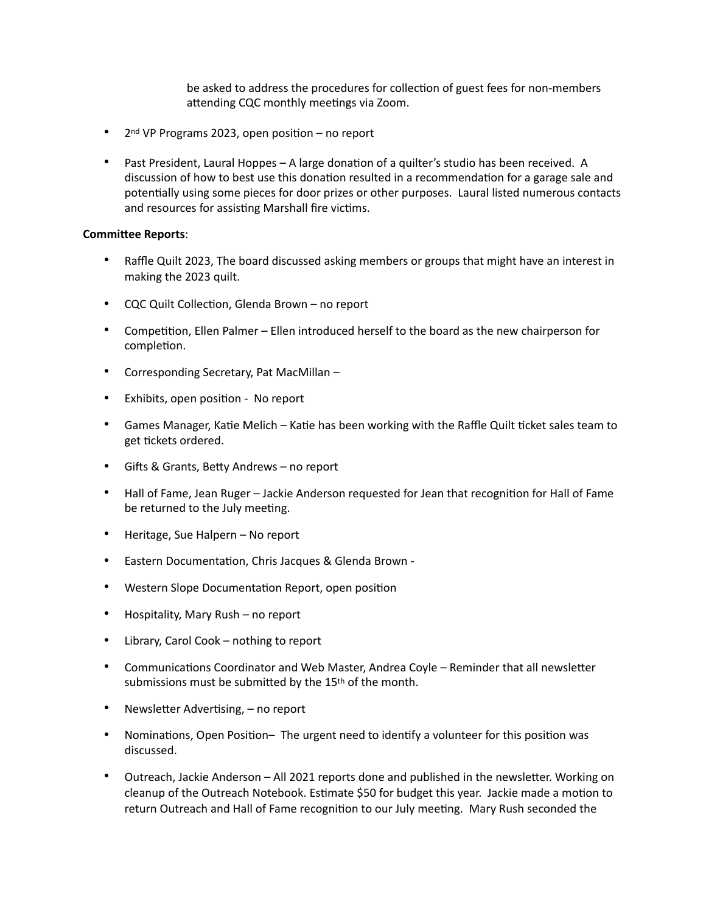be asked to address the procedures for collection of guest fees for non-members attending CQC monthly meetings via Zoom.

- 2nd VP Programs 2023, open position no report
- Past President, Laural Hoppes A large donation of a quilter's studio has been received. A discussion of how to best use this donation resulted in a recommendation for a garage sale and potentially using some pieces for door prizes or other purposes. Laural listed numerous contacts and resources for assisting Marshall fire victims.

## **Committee Reports**:

- Raffle Quilt 2023, The board discussed asking members or groups that might have an interest in making the 2023 quilt.
- CQC Quilt Collection, Glenda Brown no report
- Competition, Ellen Palmer Ellen introduced herself to the board as the new chairperson for completion.
- Corresponding Secretary, Pat MacMillan –
- Exhibits, open position No report
- Games Manager, Katie Melich Katie has been working with the Raffle Quilt ticket sales team to get tickets ordered.
- Gifts & Grants, Betty Andrews no report
- Hall of Fame, Jean Ruger Jackie Anderson requested for Jean that recognition for Hall of Fame be returned to the July meeting.
- Heritage, Sue Halpern No report
- Eastern Documentation, Chris Jacques & Glenda Brown -
- Western Slope Documentation Report, open position
- Hospitality, Mary Rush no report
- Library, Carol Cook nothing to report
- Communications Coordinator and Web Master, Andrea Coyle Reminder that all newsletter submissions must be submitted by the 15<sup>th</sup> of the month.
- Newsletter Advertising, no report
- Nominations, Open Position– The urgent need to identify a volunteer for this position was discussed.
- Outreach, Jackie Anderson All 2021 reports done and published in the newsletter. Working on cleanup of the Outreach Notebook. Estimate \$50 for budget this year. Jackie made a motion to return Outreach and Hall of Fame recognition to our July meeting. Mary Rush seconded the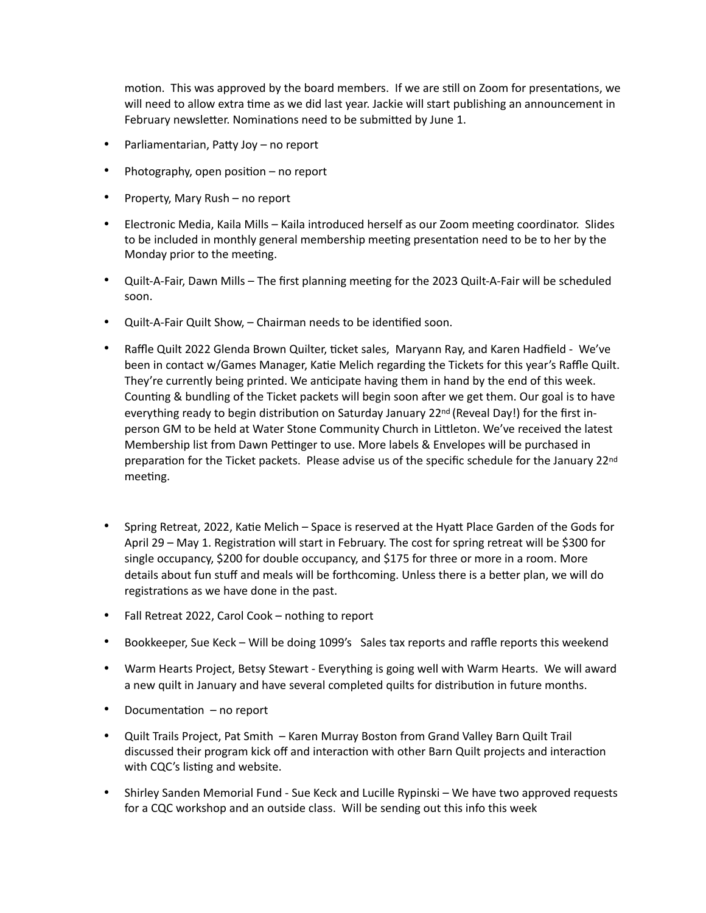motion. This was approved by the board members. If we are still on Zoom for presentations, we will need to allow extra time as we did last year. Jackie will start publishing an announcement in February newsletter. Nominations need to be submitted by June 1.

- Parliamentarian, Patty Joy no report
- Photography, open position no report
- Property, Mary Rush no report
- Electronic Media, Kaila Mills Kaila introduced herself as our Zoom meeting coordinator. Slides to be included in monthly general membership meeting presentation need to be to her by the Monday prior to the meeting.
- Quilt-A-Fair, Dawn Mills The first planning meeting for the 2023 Quilt-A-Fair will be scheduled soon.
- Quilt-A-Fair Quilt Show, Chairman needs to be identified soon.
- Raffle Quilt 2022 Glenda Brown Quilter, ticket sales, Maryann Ray, and Karen Hadfield We've been in contact w/Games Manager, Katie Melich regarding the Tickets for this year's Raffle Quilt. They're currently being printed. We anticipate having them in hand by the end of this week. Counting & bundling of the Ticket packets will begin soon after we get them. Our goal is to have everything ready to begin distribution on Saturday January 22<sup>nd</sup> (Reveal Day!) for the first inperson GM to be held at Water Stone Community Church in Littleton. We've received the latest Membership list from Dawn Pettinger to use. More labels & Envelopes will be purchased in preparation for the Ticket packets. Please advise us of the specific schedule for the January 22<sup>nd</sup> meeting.
- Spring Retreat, 2022, Katie Melich Space is reserved at the Hyatt Place Garden of the Gods for April 29 – May 1. Registration will start in February. The cost for spring retreat will be \$300 for single occupancy, \$200 for double occupancy, and \$175 for three or more in a room. More details about fun stuff and meals will be forthcoming. Unless there is a better plan, we will do registrations as we have done in the past.
- Fall Retreat 2022, Carol Cook nothing to report
- Bookkeeper, Sue Keck Will be doing 1099's Sales tax reports and raffle reports this weekend
- Warm Hearts Project, Betsy Stewart Everything is going well with Warm Hearts. We will award a new quilt in January and have several completed quilts for distribution in future months.
- Documentation no report
- Quilt Trails Project, Pat Smith Karen Murray Boston from Grand Valley Barn Quilt Trail discussed their program kick off and interaction with other Barn Quilt projects and interaction with CQC's listing and website.
- Shirley Sanden Memorial Fund Sue Keck and Lucille Rypinski We have two approved requests for a CQC workshop and an outside class. Will be sending out this info this week